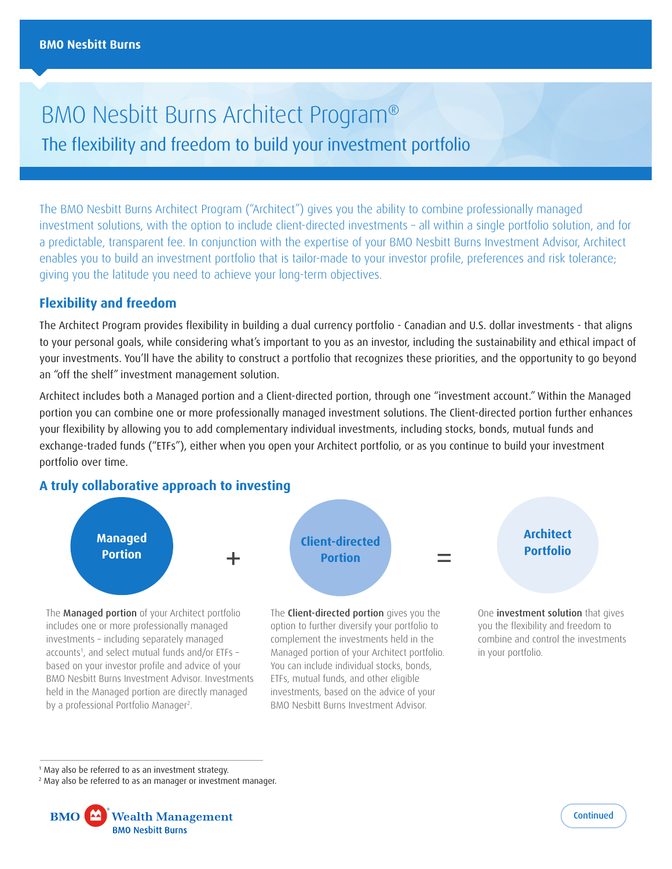# BMO Nesbitt Burns Architect Program® The flexibility and freedom to build your investment portfolio

The BMO Nesbitt Burns Architect Program ("Architect") gives you the ability to combine professionally managed investment solutions, with the option to include client-directed investments – all within a single portfolio solution, and for a predictable, transparent fee. In conjunction with the expertise of your BMO Nesbitt Burns Investment Advisor, Architect enables you to build an investment portfolio that is tailor-made to your investor profile, preferences and risk tolerance; giving you the latitude you need to achieve your long-term objectives.

# **Flexibility and freedom**

The Architect Program provides flexibility in building a dual currency portfolio - Canadian and U.S. dollar investments - that aligns to your personal goals, while considering what's important to you as an investor, including the sustainability and ethical impact of your investments. You'll have the ability to construct a portfolio that recognizes these priorities, and the opportunity to go beyond an "off the shelf" investment management solution.

Architect includes both a Managed portion and a Client-directed portion, through one "investment account." Within the Managed portion you can combine one or more professionally managed investment solutions. The Client-directed portion further enhances your flexibility by allowing you to add complementary individual investments, including stocks, bonds, mutual funds and exchange-traded funds ("ETFs"), either when you open your Architect portfolio, or as you continue to build your investment portfolio over time.

## **A truly collaborative approach to investing**



Managed portion of your Architect portfolio. You can include individual stocks, bonds, ETFs, mutual funds, and other eligible investments, based on the advice of your BMO Nesbitt Burns Investment Advisor.

1 May also be referred to as an investment strategy.

by a professional Portfolio Manager2 .

accounts1 , and select mutual funds and/or ETFs – based on your investor profile and advice of your BMO Nesbitt Burns Investment Advisor. Investments held in the Managed portion are directly managed

<sup>2</sup> May also be referred to as an manager or investment manager.





in your portfolio.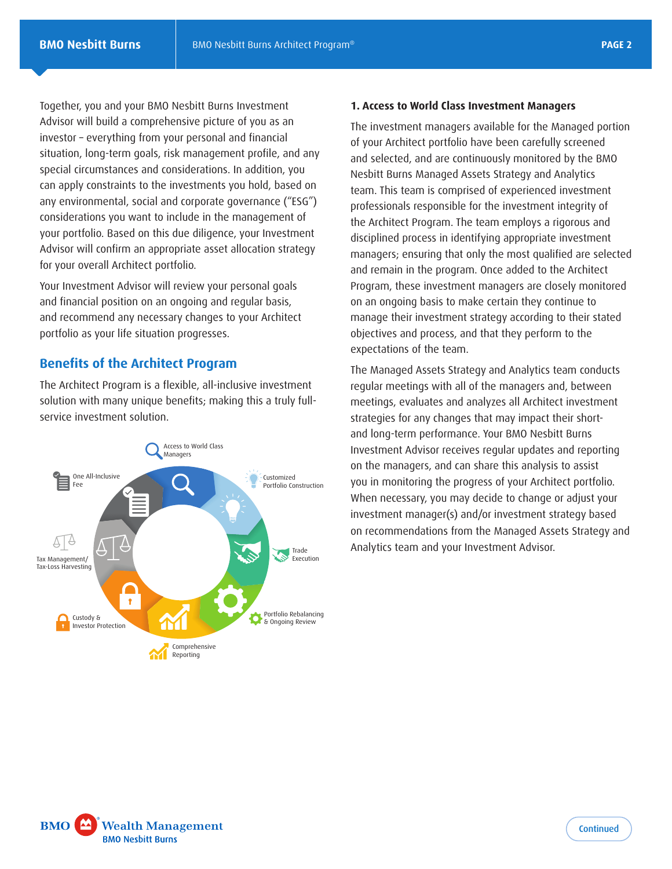Together, you and your BMO Nesbitt Burns Investment Advisor will build a comprehensive picture of you as an investor – everything from your personal and financial situation, long-term goals, risk management profile, and any special circumstances and considerations. In addition, you can apply constraints to the investments you hold, based on any environmental, social and corporate governance ("ESG") considerations you want to include in the management of your portfolio. Based on this due diligence, your Investment Advisor will confirm an appropriate asset allocation strategy for your overall Architect portfolio.

Your Investment Advisor will review your personal goals and financial position on an ongoing and regular basis, and recommend any necessary changes to your Architect portfolio as your life situation progresses.

# **Benefits of the Architect Program**

The Architect Program is a flexible, all-inclusive investment solution with many unique benefits; making this a truly fullservice investment solution.



#### **1. Access to World Class Investment Managers**

The investment managers available for the Managed portion of your Architect portfolio have been carefully screened and selected, and are continuously monitored by the BMO Nesbitt Burns Managed Assets Strategy and Analytics team. This team is comprised of experienced investment professionals responsible for the investment integrity of the Architect Program. The team employs a rigorous and disciplined process in identifying appropriate investment managers; ensuring that only the most qualified are selected and remain in the program. Once added to the Architect Program, these investment managers are closely monitored on an ongoing basis to make certain they continue to manage their investment strategy according to their stated objectives and process, and that they perform to the expectations of the team.

The Managed Assets Strategy and Analytics team conducts regular meetings with all of the managers and, between meetings, evaluates and analyzes all Architect investment strategies for any changes that may impact their shortand long-term performance. Your BMO Nesbitt Burns Investment Advisor receives regular updates and reporting on the managers, and can share this analysis to assist you in monitoring the progress of your Architect portfolio. When necessary, you may decide to change or adjust your investment manager(s) and/or investment strategy based on recommendations from the Managed Assets Strategy and Analytics team and your Investment Advisor.

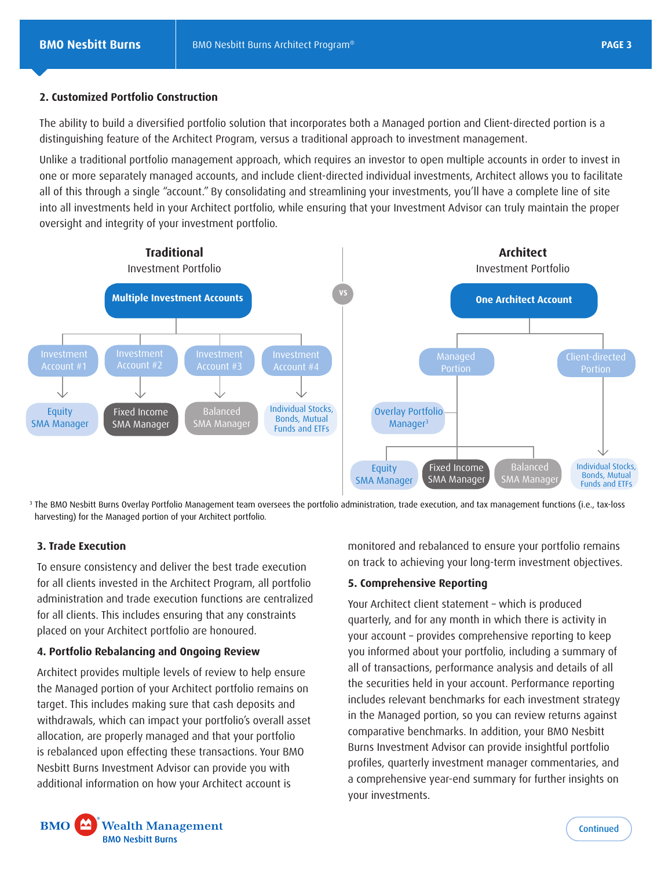## **2. Customized Portfolio Construction**

The ability to build a diversified portfolio solution that incorporates both a Managed portion and Client-directed portion is a distinguishing feature of the Architect Program, versus a traditional approach to investment management.

Unlike a traditional portfolio management approach, which requires an investor to open multiple accounts in order to invest in one or more separately managed accounts, and include client-directed individual investments, Architect allows you to facilitate all of this through a single "account." By consolidating and streamlining your investments, you'll have a complete line of site into all investments held in your Architect portfolio, while ensuring that your Investment Advisor can truly maintain the proper oversight and integrity of your investment portfolio.



<sup>3</sup> The BMO Nesbitt Burns Overlay Portfolio Management team oversees the portfolio administration, trade execution, and tax management functions (i.e., tax-loss harvesting) for the Managed portion of your Architect portfolio.

### **3. Trade Execution**

To ensure consistency and deliver the best trade execution for all clients invested in the Architect Program, all portfolio administration and trade execution functions are centralized for all clients. This includes ensuring that any constraints placed on your Architect portfolio are honoured.

### **4. Portfolio Rebalancing and Ongoing Review**

Architect provides multiple levels of review to help ensure the Managed portion of your Architect portfolio remains on target. This includes making sure that cash deposits and withdrawals, which can impact your portfolio's overall asset allocation, are properly managed and that your portfolio is rebalanced upon effecting these transactions. Your BMO Nesbitt Burns Investment Advisor can provide you with additional information on how your Architect account is

monitored and rebalanced to ensure your portfolio remains on track to achieving your long-term investment objectives.

#### **5. Comprehensive Reporting**

Your Architect client statement – which is produced quarterly, and for any month in which there is activity in your account – provides comprehensive reporting to keep you informed about your portfolio, including a summary of all of transactions, performance analysis and details of all the securities held in your account. Performance reporting includes relevant benchmarks for each investment strategy in the Managed portion, so you can review returns against comparative benchmarks. In addition, your BMO Nesbitt Burns Investment Advisor can provide insightful portfolio profiles, quarterly investment manager commentaries, and a comprehensive year-end summary for further insights on your investments.